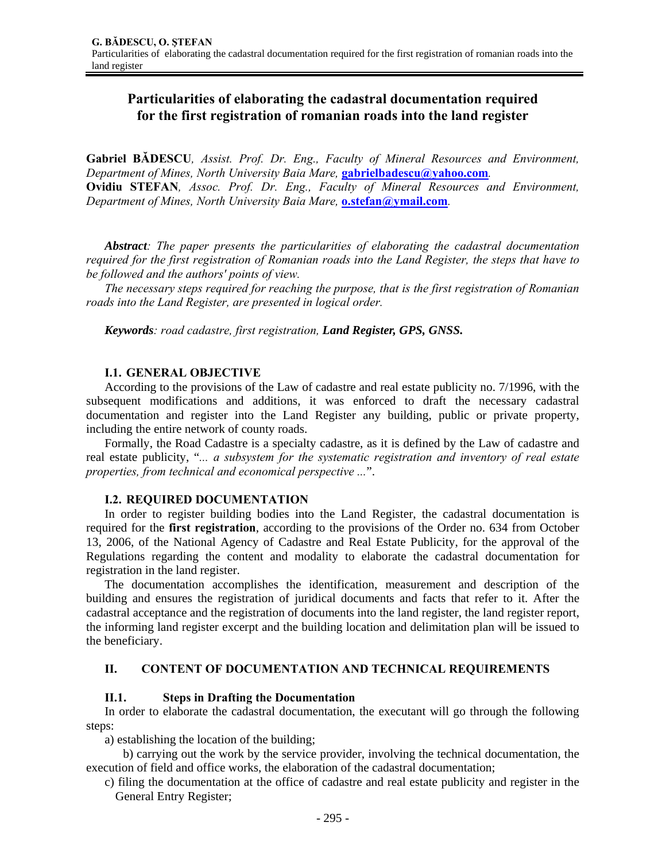# **Particularities of elaborating the cadastral documentation required for the first registration of romanian roads into the land register**

**Gabriel BĂDESCU***, Assist. Prof. Dr. Eng., Faculty of Mineral Resources and Environment, Department of Mines, North University Baia Mare,* **gabrielbadescu@yahoo.com***.*  **Ovidiu STEFAN***, Assoc. Prof. Dr. Eng., Faculty of Mineral Resources and Environment, Department of Mines, North University Baia Mare,* **o.stefan@ymail.com***.* 

*Abstract: The paper presents the particularities of elaborating the cadastral documentation required for the first registration of Romanian roads into the Land Register, the steps that have to be followed and the authors' points of view.* 

*The necessary steps required for reaching the purpose, that is the first registration of Romanian roads into the Land Register, are presented in logical order.* 

*Keywords: road cadastre, first registration, Land Register, GPS, GNSS.*

### **I.1. GENERAL OBJECTIVE**

According to the provisions of the Law of cadastre and real estate publicity no. 7/1996, with the subsequent modifications and additions, it was enforced to draft the necessary cadastral documentation and register into the Land Register any building, public or private property, including the entire network of county roads.

Formally, the Road Cadastre is a specialty cadastre, as it is defined by the Law of cadastre and real estate publicity, "*... a subsystem for the systematic registration and inventory of real estate properties, from technical and economical perspective ...*".

### **I.2. REQUIRED DOCUMENTATION**

In order to register building bodies into the Land Register, the cadastral documentation is required for the **first registration**, according to the provisions of the Order no. 634 from October 13, 2006, of the National Agency of Cadastre and Real Estate Publicity, for the approval of the Regulations regarding the content and modality to elaborate the cadastral documentation for registration in the land register.

The documentation accomplishes the identification, measurement and description of the building and ensures the registration of juridical documents and facts that refer to it. After the cadastral acceptance and the registration of documents into the land register, the land register report, the informing land register excerpt and the building location and delimitation plan will be issued to the beneficiary.

### **II. CONTENT OF DOCUMENTATION AND TECHNICAL REQUIREMENTS**

### **II.1. Steps in Drafting the Documentation**

In order to elaborate the cadastral documentation, the executant will go through the following steps:

a) establishing the location of the building;

b) carrying out the work by the service provider, involving the technical documentation, the execution of field and office works, the elaboration of the cadastral documentation;

c) filing the documentation at the office of cadastre and real estate publicity and register in the General Entry Register;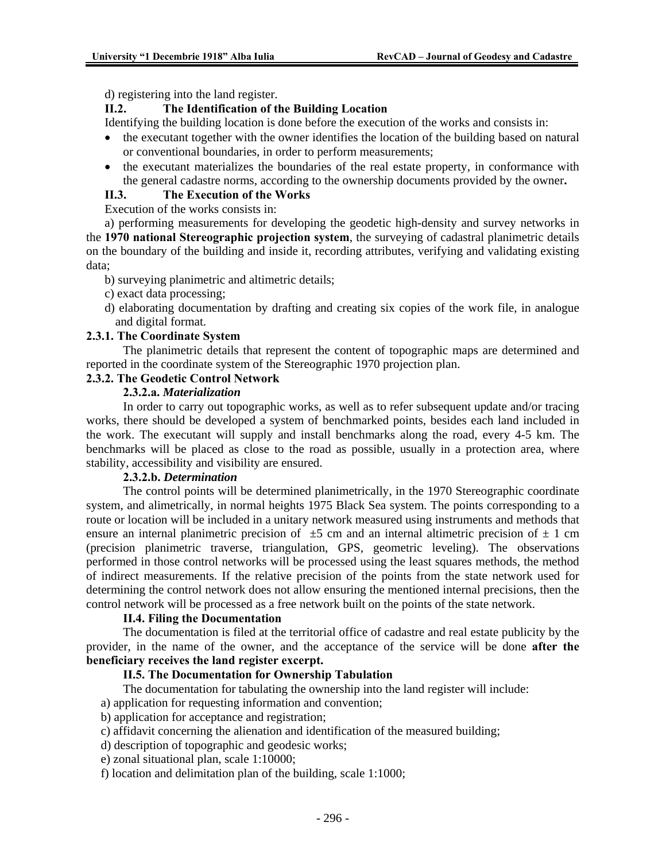d) registering into the land register.

# **II.2. The Identification of the Building Location**

Identifying the building location is done before the execution of the works and consists in:

- the executant together with the owner identifies the location of the building based on natural or conventional boundaries, in order to perform measurements;
- the executant materializes the boundaries of the real estate property, in conformance with the general cadastre norms, according to the ownership documents provided by the owner**.**

### **II.3. The Execution of the Works**

Execution of the works consists in:

a) performing measurements for developing the geodetic high-density and survey networks in the **1970 national Stereographic projection system**, the surveying of cadastral planimetric details on the boundary of the building and inside it, recording attributes, verifying and validating existing data;

- b) surveying planimetric and altimetric details;
- c) exact data processing;
- d) elaborating documentation by drafting and creating six copies of the work file, in analogue and digital format.

### **2.3.1. The Coordinate System**

The planimetric details that represent the content of topographic maps are determined and reported in the coordinate system of the Stereographic 1970 projection plan.

### **2.3.2. The Geodetic Control Network**

### **2.3.2.a.** *Materialization*

 In order to carry out topographic works, as well as to refer subsequent update and/or tracing works, there should be developed a system of benchmarked points, besides each land included in the work. The executant will supply and install benchmarks along the road, every 4-5 km. The benchmarks will be placed as close to the road as possible, usually in a protection area, where stability, accessibility and visibility are ensured.

### **2.3.2.b.** *Determination*

 The control points will be determined planimetrically, in the 1970 Stereographic coordinate system, and alimetrically, in normal heights 1975 Black Sea system. The points corresponding to a route or location will be included in a unitary network measured using instruments and methods that ensure an internal planimetric precision of  $\pm 5$  cm and an internal altimetric precision of  $\pm 1$  cm (precision planimetric traverse, triangulation, GPS, geometric leveling). The observations performed in those control networks will be processed using the least squares methods, the method of indirect measurements. If the relative precision of the points from the state network used for determining the control network does not allow ensuring the mentioned internal precisions, then the control network will be processed as a free network built on the points of the state network.

### **II.4. Filing the Documentation**

The documentation is filed at the territorial office of cadastre and real estate publicity by the provider, in the name of the owner, and the acceptance of the service will be done **after the beneficiary receives the land register excerpt.** 

# **II.5. The Documentation for Ownership Tabulation**

The documentation for tabulating the ownership into the land register will include:

a) application for requesting information and convention;

- b) application for acceptance and registration;
- c) affidavit concerning the alienation and identification of the measured building;
- d) description of topographic and geodesic works;
- e) zonal situational plan, scale 1:10000;
- f) location and delimitation plan of the building, scale 1:1000;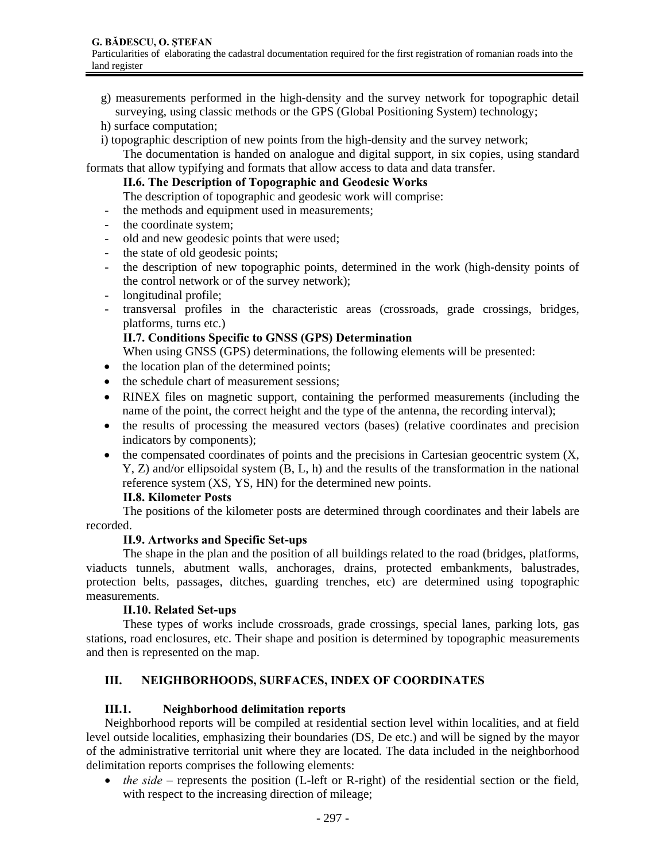- g) measurements performed in the high-density and the survey network for topographic detail surveying, using classic methods or the GPS (Global Positioning System) technology;
- h) surface computation;
- i) topographic description of new points from the high-density and the survey network;

 The documentation is handed on analogue and digital support, in six copies, using standard formats that allow typifying and formats that allow access to data and data transfer.

### **II.6. The Description of Topographic and Geodesic Works**

The description of topographic and geodesic work will comprise:

- the methods and equipment used in measurements;
- the coordinate system;
- old and new geodesic points that were used;
- the state of old geodesic points;
- the description of new topographic points, determined in the work (high-density points of the control network or of the survey network);
- longitudinal profile;
- transversal profiles in the characteristic areas (crossroads, grade crossings, bridges, platforms, turns etc.)

### **II.7. Conditions Specific to GNSS (GPS) Determination**

When using GNSS (GPS) determinations, the following elements will be presented:

- the location plan of the determined points;
- the schedule chart of measurement sessions;
- RINEX files on magnetic support, containing the performed measurements (including the name of the point, the correct height and the type of the antenna, the recording interval);
- the results of processing the measured vectors (bases) (relative coordinates and precision indicators by components);
- $\bullet$  the compensated coordinates of points and the precisions in Cartesian geocentric system  $(X, \mathcal{L})$ Y, Z) and/or ellipsoidal system (B, L, h) and the results of the transformation in the national reference system (XS, YS, HN) for the determined new points.

### **II.8. Kilometer Posts**

 The positions of the kilometer posts are determined through coordinates and their labels are recorded.

### **II.9. Artworks and Specific Set-ups**

 The shape in the plan and the position of all buildings related to the road (bridges, platforms, viaducts tunnels, abutment walls, anchorages, drains, protected embankments, balustrades, protection belts, passages, ditches, guarding trenches, etc) are determined using topographic measurements.

### **II.10. Related Set-ups**

 These types of works include crossroads, grade crossings, special lanes, parking lots, gas stations, road enclosures, etc. Their shape and position is determined by topographic measurements and then is represented on the map.

# **III. NEIGHBORHOODS, SURFACES, INDEX OF COORDINATES**

### **III.1. Neighborhood delimitation reports**

Neighborhood reports will be compiled at residential section level within localities, and at field level outside localities, emphasizing their boundaries (DS, De etc.) and will be signed by the mayor of the administrative territorial unit where they are located. The data included in the neighborhood delimitation reports comprises the following elements:

• *the side* – represents the position (L-left or R-right) of the residential section or the field, with respect to the increasing direction of mileage;